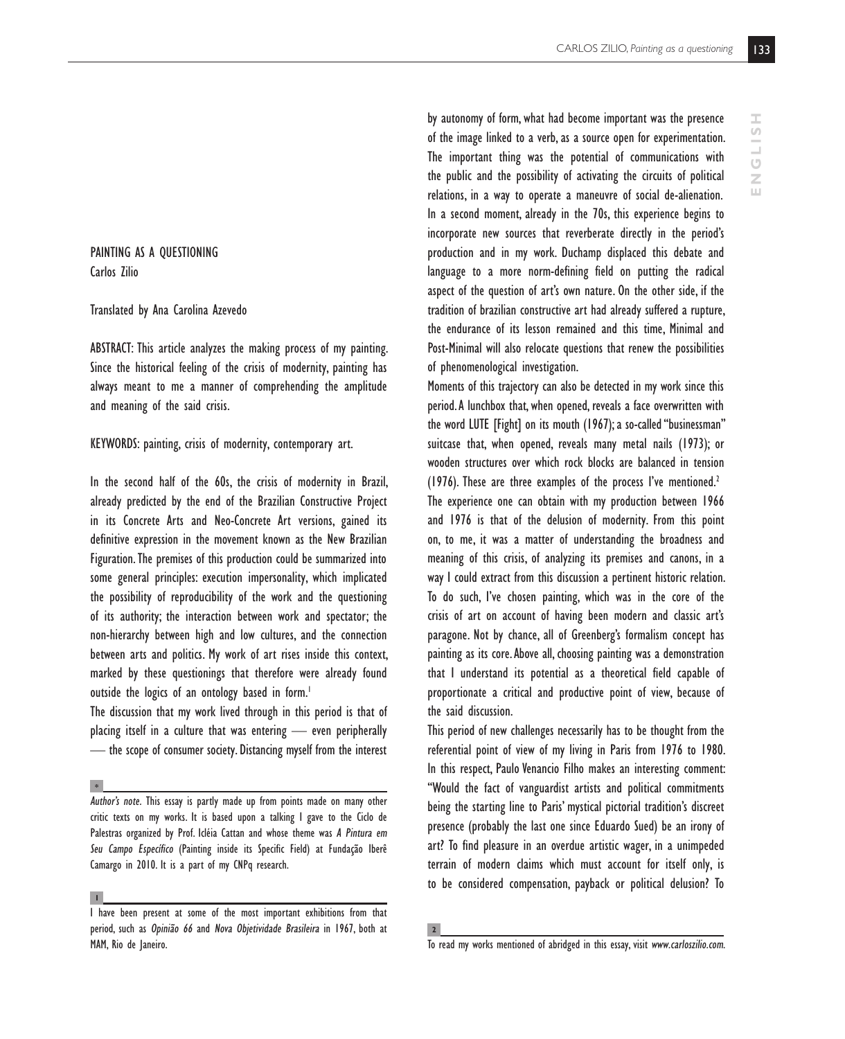PAINTING AS A QUESTIONING Carlos Zilio

## Translated by Ana Carolina Azevedo

ABSTRACT: This article analyzes the making process of my painting. Since the historical feeling of the crisis of modernity, painting has always meant to me a manner of comprehending the amplitude and meaning of the said crisis.

## KEYWORDS: painting, crisis of modernity, contemporary art.

In the second half of the 60s, the crisis of modernity in Brazil, already predicted by the end of the Brazilian Constructive Project in its Concrete Arts and Neo-Concrete Art versions, gained its definitive expression in the movement known as the New Brazilian Figuration. The premises of this production could be summarized into some general principles: execution impersonality, which implicated the possibility of reproducibility of the work and the questioning of its authority; the interaction between work and spectator; the non-hierarchy between high and low cultures, and the connection between arts and politics. My work of art rises inside this context, marked by these questionings that therefore were already found outside the logics of an ontology based in form.<sup>1</sup>

The discussion that my work lived through in this period is that of placing itself in a culture that was entering — even peripherally — the scope of consumer society. Distancing myself from the interest

**\***

by autonomy of form, what had become important was the presence of the image linked to a verb, as a source open for experimentation. The important thing was the potential of communications with the public and the possibility of activating the circuits of political relations, in a way to operate a maneuvre of social de-alienation. In a second moment, already in the 70s, this experience begins to incorporate new sources that reverberate directly in the period's production and in my work. Duchamp displaced this debate and language to a more norm-defining field on putting the radical aspect of the question of art's own nature. On the other side, if the tradition of brazilian constructive art had already suffered a rupture, the endurance of its lesson remained and this time, Minimal and Post-Minimal will also relocate questions that renew the possibilities of phenomenological investigation.

Moments of this trajectory can also be detected in my work since this period. A lunchbox that, when opened, reveals a face overwritten with the word LUTE [Fight] on its mouth (1967); a so-called "businessman" suitcase that, when opened, reveals many metal nails (1973); or wooden structures over which rock blocks are balanced in tension (1976). These are three examples of the process I've mentioned.<sup>2</sup> The experience one can obtain with my production between 1966 and 1976 is that of the delusion of modernity. From this point on, to me, it was a matter of understanding the broadness and meaning of this crisis, of analyzing its premises and canons, in a way I could extract from this discussion a pertinent historic relation. To do such, I've chosen painting, which was in the core of the crisis of art on account of having been modern and classic art's paragone. Not by chance, all of Greenberg's formalism concept has painting as its core. Above all, choosing painting was a demonstration that I understand its potential as a theoretical field capable of proportionate a critical and productive point of view, because of the said discussion.

This period of new challenges necessarily has to be thought from the referential point of view of my living in Paris from 1976 to 1980. In this respect, Paulo Venancio Filho makes an interesting comment: "Would the fact of vanguardist artists and political commitments being the starting line to Paris' mystical pictorial tradition's discreet presence (probably the last one since Eduardo Sued) be an irony of art? To find pleasure in an overdue artistic wager, in a unimpeded terrain of modern claims which must account for itself only, is to be considered compensation, payback or political delusion? To

*Author's note.* This essay is partly made up from points made on many other critic texts on my works. It is based upon a talking I gave to the Ciclo de Palestras organized by Prof. Icléia Cattan and whose theme was *A Pintura em Seu Campo Específico* (Painting inside its Specific Field) at Fundação Iberê Camargo in 2010. It is a part of my CNPq research.

**<sup>1</sup>**

I have been present at some of the most important exhibitions from that period, such as *Opinião 66* and *Nova Objetividade Brasileira* in 1967, both at MAM, Rio de Janeiro.

**<sup>2</sup>**

To read my works mentioned of abridged in this essay, visit *www.carloszilio.com*.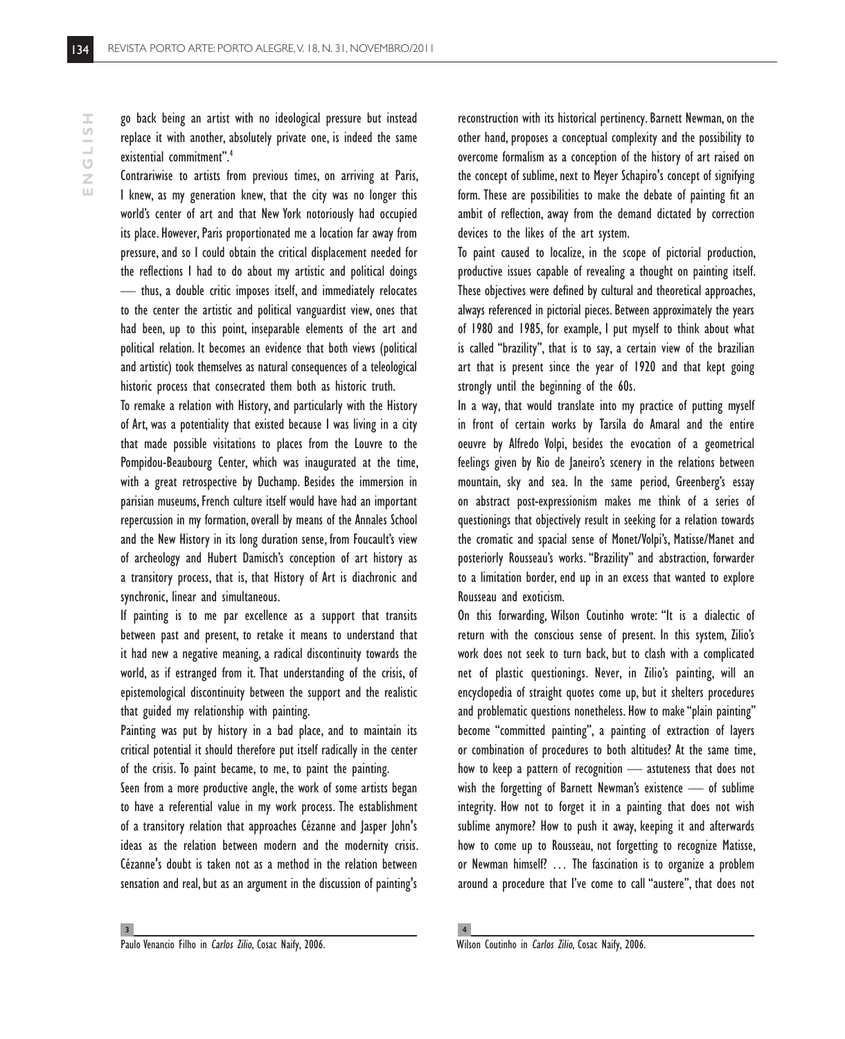Contrariwise to artists from previous times, on arriving at Paris, I knew, as my generation knew, that the city was no longer this world's center of art and that New York notoriously had occupied its place. However, Paris proportionated me a location far away from pressure, and so I could obtain the critical displacement needed for the reflections I had to do about my artistic and political doings — thus, a double critic imposes itself, and immediately relocates to the center the artistic and political vanguardist view, ones that had been, up to this point, inseparable elements of the art and political relation. It becomes an evidence that both views (political and artistic) took themselves as natural consequences of a teleological historic process that consecrated them both as historic truth.

To remake a relation with History, and particularly with the History of Art, was a potentiality that existed because I was living in a city that made possible visitations to places from the Louvre to the Pompidou-Beaubourg Center, which was inaugurated at the time, with a great retrospective by Duchamp. Besides the immersion in parisian museums, French culture itself would have had an important repercussion in my formation, overall by means of the Annales School and the New History in its long duration sense, from Foucault's view of archeology and Hubert Damisch's conception of art history as a transitory process, that is, that History of Art is diachronic and synchronic, linear and simultaneous.

If painting is to me par excellence as a support that transits between past and present, to retake it means to understand that it had new a negative meaning, a radical discontinuity towards the world, as if estranged from it. That understanding of the crisis, of epistemological discontinuity between the support and the realistic that guided my relationship with painting.

Painting was put by history in a bad place, and to maintain its critical potential it should therefore put itself radically in the center of the crisis. To paint became, to me, to paint the painting.

Seen from a more productive angle, the work of some artists began to have a referential value in my work process. The establishment of a transitory relation that approaches Cézanne and Jasper John's ideas as the relation between modern and the modernity crisis. Cézanne's doubt is taken not as a method in the relation between sensation and real, but as an argument in the discussion of painting's reconstruction with its historical pertinency. Barnett Newman, on the other hand, proposes a conceptual complexity and the possibility to overcome formalism as a conception of the history of art raised on the concept of sublime, next to Meyer Schapiro's concept of signifying form. These are possibilities to make the debate of painting fit an ambit of reflection, away from the demand dictated by correction devices to the likes of the art system.

To paint caused to localize, in the scope of pictorial production, productive issues capable of revealing a thought on painting itself. These objectives were defined by cultural and theoretical approaches, always referenced in pictorial pieces. Between approximately the years of 1980 and 1985, for example, I put myself to think about what is called "brazility", that is to say, a certain view of the brazilian art that is present since the year of 1920 and that kept going strongly until the beginning of the 60s.

In a way, that would translate into my practice of putting myself in front of certain works by Tarsila do Amaral and the entire oeuvre by Alfredo Volpi, besides the evocation of a geometrical feelings given by Rio de Janeiro's scenery in the relations between mountain, sky and sea. In the same period, Greenberg's essay on abstract post-expressionism makes me think of a series of questionings that objectively result in seeking for a relation towards the cromatic and spacial sense of Monet/Volpi's, Matisse/Manet and posteriorly Rousseau's works. "Brazility" and abstraction, forwarder to a limitation border, end up in an excess that wanted to explore Rousseau and exoticism.

On this forwarding, Wilson Coutinho wrote: "It is a dialectic of return with the conscious sense of present. In this system, Zilio's work does not seek to turn back, but to clash with a complicated net of plastic questionings. Never, in Zilio's painting, will an encyclopedia of straight quotes come up, but it shelters procedures and problematic questions nonetheless. How to make "plain painting" become "committed painting", a painting of extraction of layers or combination of procedures to both altitudes? At the same time, how to keep a pattern of recognition — astuteness that does not wish the forgetting of Barnett Newman's existence — of sublime integrity. How not to forget it in a painting that does not wish sublime anymore? How to push it away, keeping it and afterwards how to come up to Rousseau, not forgetting to recognize Matisse, or Newman himself? … The fascination is to organize a problem around a procedure that I've come to call "austere", that does not

**4**

ENGLISH **E N G L I S H**